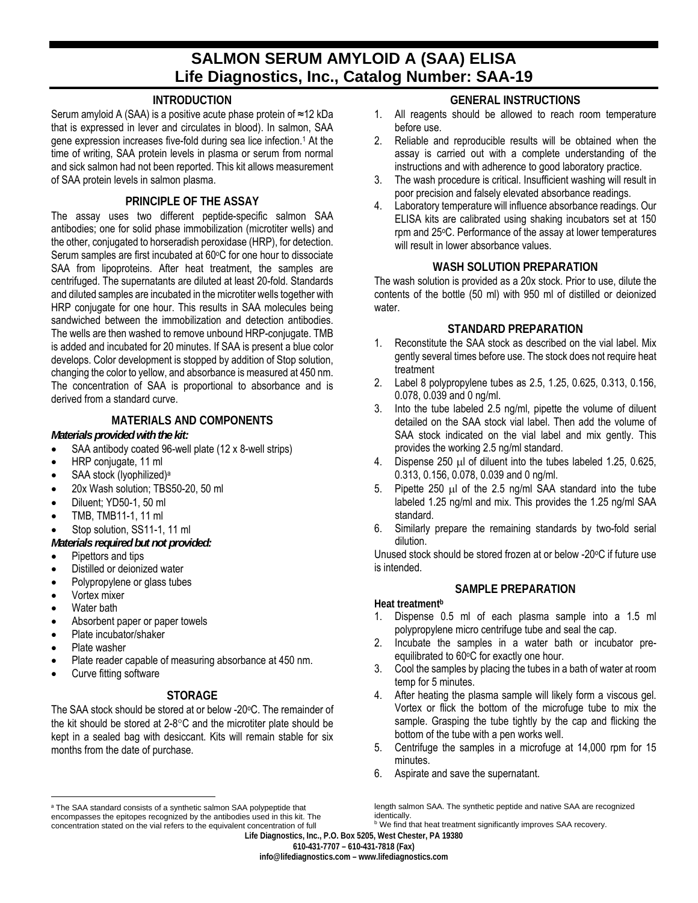# **SALMON SERUM AMYLOID A (SAA) ELISA Life Diagnostics, Inc., Catalog Number: SAA-19**

#### **INTRODUCTION**

Serum amyloid A (SAA) is a positive acute phase protein of ≈12 kDa that is expressed in lever and circulates in blood). In salmon, SAA gene expression increases five-fold during sea lice infection.1 At the time of writing, SAA protein levels in plasma or serum from normal and sick salmon had not been reported. This kit allows measurement of SAA protein levels in salmon plasma.

#### **PRINCIPLE OF THE ASSAY**

The assay uses two different peptide-specific salmon SAA antibodies; one for solid phase immobilization (microtiter wells) and the other, conjugated to horseradish peroxidase (HRP), for detection. Serum samples are first incubated at 60°C for one hour to dissociate SAA from lipoproteins. After heat treatment, the samples are centrifuged. The supernatants are diluted at least 20-fold. Standards and diluted samples are incubated in the microtiter wells together with HRP conjugate for one hour. This results in SAA molecules being sandwiched between the immobilization and detection antibodies. The wells are then washed to remove unbound HRP-conjugate. TMB is added and incubated for 20 minutes. If SAA is present a blue color develops. Color development is stopped by addition of Stop solution, changing the color to yellow, and absorbance is measured at 450 nm. The concentration of SAA is proportional to absorbance and is derived from a standard curve.

# **MATERIALS AND COMPONENTS**

#### *Materials provided with the kit:*

- SAA antibody coated 96-well plate (12 x 8-well strips)
- HRP conjugate, 11 ml
- SAA stock (lyophilized)a
- 20x Wash solution; TBS50-20, 50 ml
- Diluent; YD50-1, 50 ml
- TMB, TMB11-1, 11 ml
- Stop solution, SS11-1, 11 ml
- *Materials required but not provided:*
- Pipettors and tips
- Distilled or deionized water
- Polypropylene or glass tubes
- Vortex mixer
- Water bath
- Absorbent paper or paper towels
- Plate incubator/shaker
- Plate washer

 $\overline{\phantom{a}}$ 

- Plate reader capable of measuring absorbance at 450 nm.
- Curve fitting software

# **STORAGE**

The SAA stock should be stored at or below -20°C. The remainder of the kit should be stored at  $2-8$ <sup>o</sup>C and the microtiter plate should be kept in a sealed bag with desiccant. Kits will remain stable for six months from the date of purchase.

#### **GENERAL INSTRUCTIONS**

- 1. All reagents should be allowed to reach room temperature before use.
- 2. Reliable and reproducible results will be obtained when the assay is carried out with a complete understanding of the instructions and with adherence to good laboratory practice.
- 3. The wash procedure is critical. Insufficient washing will result in poor precision and falsely elevated absorbance readings.
- 4. Laboratory temperature will influence absorbance readings. Our ELISA kits are calibrated using shaking incubators set at 150 rpm and 25°C. Performance of the assay at lower temperatures will result in lower absorbance values.

#### **WASH SOLUTION PREPARATION**

The wash solution is provided as a 20x stock. Prior to use, dilute the contents of the bottle (50 ml) with 950 ml of distilled or deionized water.

#### **STANDARD PREPARATION**

- 1. Reconstitute the SAA stock as described on the vial label. Mix gently several times before use. The stock does not require heat treatment
- 2. Label 8 polypropylene tubes as 2.5, 1.25, 0.625, 0.313, 0.156, 0.078, 0.039 and 0 ng/ml.
- 3. Into the tube labeled 2.5 ng/ml, pipette the volume of diluent detailed on the SAA stock vial label. Then add the volume of SAA stock indicated on the vial label and mix gently. This provides the working 2.5 ng/ml standard.
- 4. Dispense  $250 \mu l$  of diluent into the tubes labeled 1.25, 0.625, 0.313, 0.156, 0.078, 0.039 and 0 ng/ml.
- 5. Pipette 250  $\mu$ l of the 2.5 ng/ml SAA standard into the tube labeled 1.25 ng/ml and mix. This provides the 1.25 ng/ml SAA standard.
- 6. Similarly prepare the remaining standards by two-fold serial dilution.

Unused stock should be stored frozen at or below -20°C if future use is intended.

#### **SAMPLE PREPARATION**

**Heat treatmentb**

- 1. Dispense 0.5 ml of each plasma sample into a 1.5 ml polypropylene micro centrifuge tube and seal the cap.
- 2. Incubate the samples in a water bath or incubator preequilibrated to 60°C for exactly one hour.
- 3. Cool the samples by placing the tubes in a bath of water at room temp for 5 minutes.
- 4. After heating the plasma sample will likely form a viscous gel. Vortex or flick the bottom of the microfuge tube to mix the sample. Grasping the tube tightly by the cap and flicking the bottom of the tube with a pen works well.
- 5. Centrifuge the samples in a microfuge at 14,000 rpm for 15 minutes.
- 6. Aspirate and save the supernatant.

**info@lifediagnostics.com – www.lifediagnostics.com** 

a The SAA standard consists of a synthetic salmon SAA polypeptide that encompasses the epitopes recognized by the antibodies used in this kit. The concentration stated on the vial refers to the equivalent concentration of full

length salmon SAA. The synthetic peptide and native SAA are recognized identically.

**b** We find that heat treatment significantly improves SAA recovery.

**Life Diagnostics, Inc., P.O. Box 5205, West Chester, PA 19380 610-431-7707 – 610-431-7818 (Fax)**